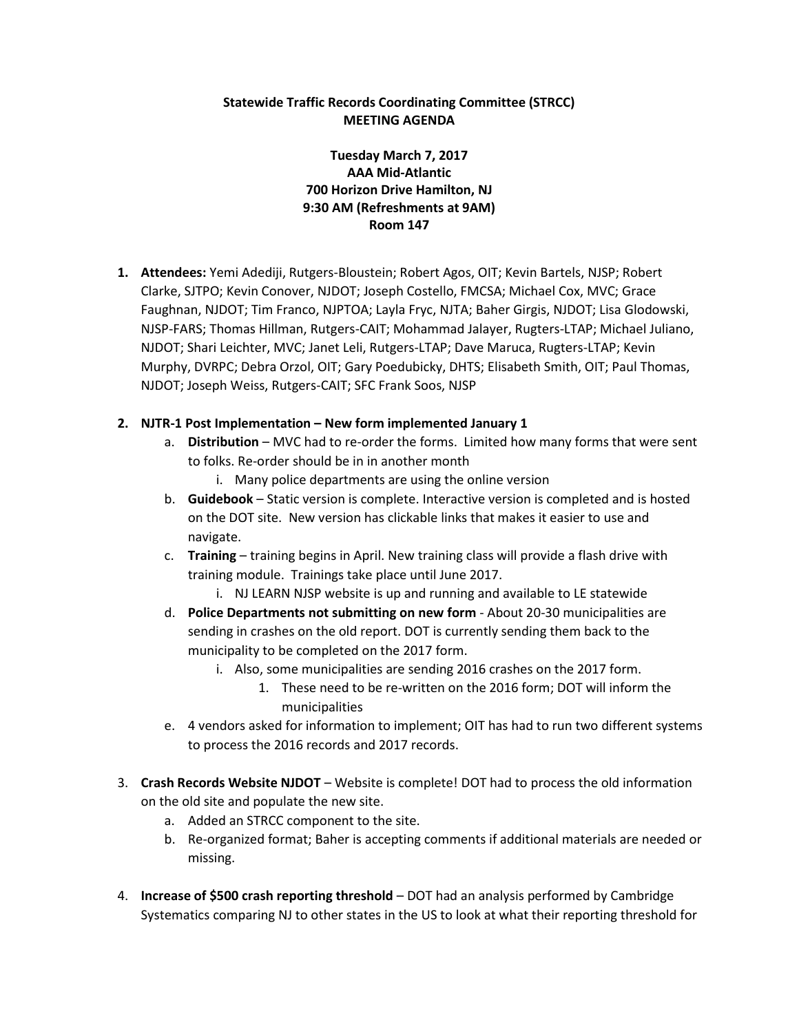## **Statewide Traffic Records Coordinating Committee (STRCC) MEETING AGENDA**

# **Tuesday March 7, 2017 AAA Mid-Atlantic 700 Horizon Drive Hamilton, NJ 9:30 AM (Refreshments at 9AM) Room 147**

**1. Attendees:** Yemi Adediji, Rutgers-Bloustein; Robert Agos, OIT; Kevin Bartels, NJSP; Robert Clarke, SJTPO; Kevin Conover, NJDOT; Joseph Costello, FMCSA; Michael Cox, MVC; Grace Faughnan, NJDOT; Tim Franco, NJPTOA; Layla Fryc, NJTA; Baher Girgis, NJDOT; Lisa Glodowski, NJSP-FARS; Thomas Hillman, Rutgers-CAIT; Mohammad Jalayer, Rugters-LTAP; Michael Juliano, NJDOT; Shari Leichter, MVC; Janet Leli, Rutgers-LTAP; Dave Maruca, Rugters-LTAP; Kevin Murphy, DVRPC; Debra Orzol, OIT; Gary Poedubicky, DHTS; Elisabeth Smith, OIT; Paul Thomas, NJDOT; Joseph Weiss, Rutgers-CAIT; SFC Frank Soos, NJSP

#### **2. NJTR-1 Post Implementation – New form implemented January 1**

- a. **Distribution** MVC had to re-order the forms. Limited how many forms that were sent to folks. Re-order should be in in another month
	- i. Many police departments are using the online version
- b. **Guidebook** Static version is complete. Interactive version is completed and is hosted on the DOT site. New version has clickable links that makes it easier to use and navigate.
- c. **Training** training begins in April. New training class will provide a flash drive with training module. Trainings take place until June 2017.
	- i. NJ LEARN NJSP website is up and running and available to LE statewide
- d. **Police Departments not submitting on new form** About 20-30 municipalities are sending in crashes on the old report. DOT is currently sending them back to the municipality to be completed on the 2017 form.
	- i. Also, some municipalities are sending 2016 crashes on the 2017 form.
		- 1. These need to be re-written on the 2016 form; DOT will inform the municipalities
- e. 4 vendors asked for information to implement; OIT has had to run two different systems to process the 2016 records and 2017 records.
- 3. **Crash Records Website NJDOT** Website is complete! DOT had to process the old information on the old site and populate the new site.
	- a. Added an STRCC component to the site.
	- b. Re-organized format; Baher is accepting comments if additional materials are needed or missing.
- 4. **Increase of \$500 crash reporting threshold** DOT had an analysis performed by Cambridge Systematics comparing NJ to other states in the US to look at what their reporting threshold for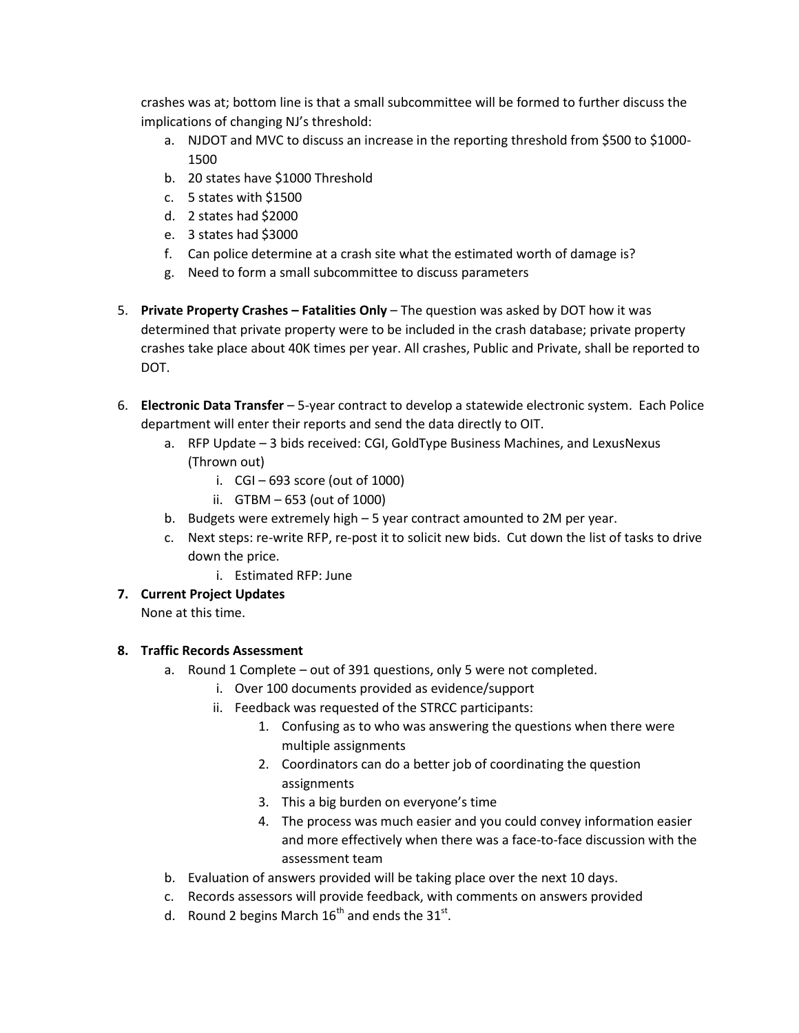crashes was at; bottom line is that a small subcommittee will be formed to further discuss the implications of changing NJ's threshold:

- a. NJDOT and MVC to discuss an increase in the reporting threshold from \$500 to \$1000- 1500
- b. 20 states have \$1000 Threshold
- c. 5 states with \$1500
- d. 2 states had \$2000
- e. 3 states had \$3000
- f. Can police determine at a crash site what the estimated worth of damage is?
- g. Need to form a small subcommittee to discuss parameters
- 5. **Private Property Crashes – Fatalities Only** The question was asked by DOT how it was determined that private property were to be included in the crash database; private property crashes take place about 40K times per year. All crashes, Public and Private, shall be reported to DOT.
- 6. **Electronic Data Transfer** 5-year contract to develop a statewide electronic system. Each Police department will enter their reports and send the data directly to OIT.
	- a. RFP Update 3 bids received: CGI, GoldType Business Machines, and LexusNexus (Thrown out)
		- i.  $CGI 693$  score (out of 1000)
		- ii. GTBM 653 (out of 1000)
	- b. Budgets were extremely high 5 year contract amounted to 2M per year.
	- c. Next steps: re-write RFP, re-post it to solicit new bids. Cut down the list of tasks to drive down the price.
		- i. Estimated RFP: June

## **7. Current Project Updates**

None at this time.

## **8. Traffic Records Assessment**

- a. Round 1 Complete out of 391 questions, only 5 were not completed.
	- i. Over 100 documents provided as evidence/support
	- ii. Feedback was requested of the STRCC participants:
		- 1. Confusing as to who was answering the questions when there were multiple assignments
		- 2. Coordinators can do a better job of coordinating the question assignments
		- 3. This a big burden on everyone's time
		- 4. The process was much easier and you could convey information easier and more effectively when there was a face-to-face discussion with the assessment team
- b. Evaluation of answers provided will be taking place over the next 10 days.
- c. Records assessors will provide feedback, with comments on answers provided
- d. Round 2 begins March  $16^{\text{th}}$  and ends the  $31^{\text{st}}$ .